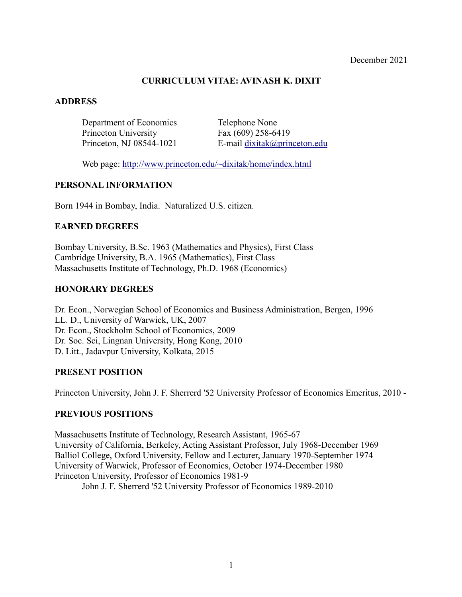# **CURRICULUM VITAE: AVINASH K. DIXIT**

# **ADDRESS**

Department of Economics Telephone None Princeton University Fax (609) 258-6419

Princeton, NJ 08544-1021 E-mail dixitak@princeton.edu

Web page: http://www.princeton.edu/~dixitak/home/index.html

# **PERSONAL INFORMATION**

Born 1944 in Bombay, India. Naturalized U.S. citizen.

# **EARNED DEGREES**

Bombay University, B.Sc. 1963 (Mathematics and Physics), First Class Cambridge University, B.A. 1965 (Mathematics), First Class Massachusetts Institute of Technology, Ph.D. 1968 (Economics)

# **HONORARY DEGREES**

Dr. Econ., Norwegian School of Economics and Business Administration, Bergen, 1996 LL. D., University of Warwick, UK, 2007 Dr. Econ., Stockholm School of Economics, 2009 Dr. Soc. Sci, Lingnan University, Hong Kong, 2010 D. Litt., Jadavpur University, Kolkata, 2015

# **PRESENT POSITION**

Princeton University, John J. F. Sherrerd '52 University Professor of Economics Emeritus, 2010 -

# **PREVIOUS POSITIONS**

Massachusetts Institute of Technology, Research Assistant, 1965-67 University of California, Berkeley, Acting Assistant Professor, July 1968-December 1969 Balliol College, Oxford University, Fellow and Lecturer, January 1970-September 1974 University of Warwick, Professor of Economics, October 1974-December 1980 Princeton University, Professor of Economics 1981-9

John J. F. Sherrerd '52 University Professor of Economics 1989-2010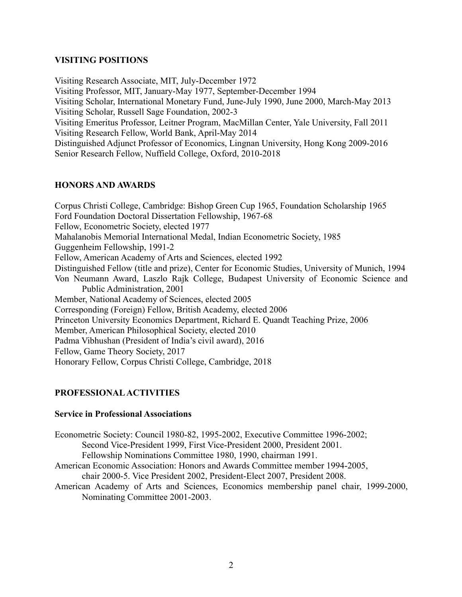# **VISITING POSITIONS**

Visiting Research Associate, MIT, July-December 1972 Visiting Professor, MIT, January-May 1977, September-December 1994 Visiting Scholar, International Monetary Fund, June-July 1990, June 2000, March-May 2013 Visiting Scholar, Russell Sage Foundation, 2002-3 Visiting Emeritus Professor, Leitner Program, MacMillan Center, Yale University, Fall 2011 Visiting Research Fellow, World Bank, April-May 2014 Distinguished Adjunct Professor of Economics, Lingnan University, Hong Kong 2009-2016 Senior Research Fellow, Nuffield College, Oxford, 2010-2018

# **HONORS AND AWARDS**

Corpus Christi College, Cambridge: Bishop Green Cup 1965, Foundation Scholarship 1965 Ford Foundation Doctoral Dissertation Fellowship, 1967-68 Fellow, Econometric Society, elected 1977 Mahalanobis Memorial International Medal, Indian Econometric Society, 1985 Guggenheim Fellowship, 1991-2 Fellow, American Academy of Arts and Sciences, elected 1992 Distinguished Fellow (title and prize), Center for Economic Studies, University of Munich, 1994 Von Neumann Award, Laszlo Rajk College, Budapest University of Economic Science and Public Administration, 2001 Member, National Academy of Sciences, elected 2005 Corresponding (Foreign) Fellow, British Academy, elected 2006 Princeton University Economics Department, Richard E. Quandt Teaching Prize, 2006 Member, American Philosophical Society, elected 2010 Padma Vibhushan (President of India's civil award), 2016 Fellow, Game Theory Society, 2017 Honorary Fellow, Corpus Christi College, Cambridge, 2018

# **PROFESSIONAL ACTIVITIES**

# **Service in Professional Associations**

Econometric Society: Council 1980-82, 1995-2002, Executive Committee 1996-2002; Second Vice-President 1999, First Vice-President 2000, President 2001. Fellowship Nominations Committee 1980, 1990, chairman 1991.

- American Economic Association: Honors and Awards Committee member 1994-2005, chair 2000-5. Vice President 2002, President-Elect 2007, President 2008.
- American Academy of Arts and Sciences, Economics membership panel chair, 1999-2000, Nominating Committee 2001-2003.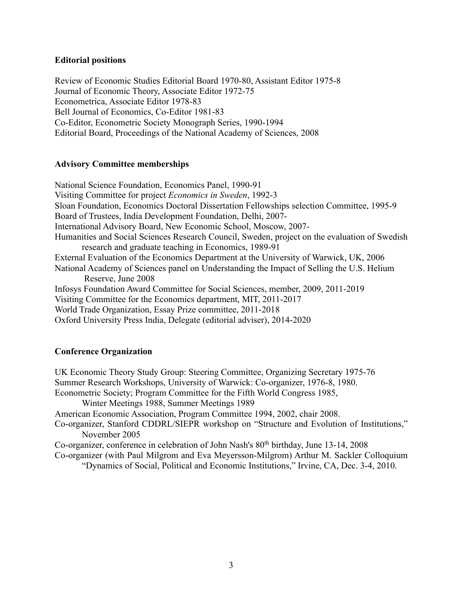### **Editorial positions**

Review of Economic Studies Editorial Board 1970-80, Assistant Editor 1975-8 Journal of Economic Theory, Associate Editor 1972-75 Econometrica, Associate Editor 1978-83 Bell Journal of Economics, Co-Editor 1981-83 Co-Editor, Econometric Society Monograph Series, 1990-1994 Editorial Board, Proceedings of the National Academy of Sciences, 2008

### **Advisory Committee memberships**

National Science Foundation, Economics Panel, 1990-91 Visiting Committee for project *Economics in Sweden*, 1992-3 Sloan Foundation, Economics Doctoral Dissertation Fellowships selection Committee, 1995-9 Board of Trustees, India Development Foundation, Delhi, 2007- International Advisory Board, New Economic School, Moscow, 2007- Humanities and Social Sciences Research Council, Sweden, project on the evaluation of Swedish research and graduate teaching in Economics, 1989-91 External Evaluation of the Economics Department at the University of Warwick, UK, 2006 National Academy of Sciences panel on Understanding the Impact of Selling the U.S. Helium Reserve, June 2008 Infosys Foundation Award Committee for Social Sciences, member, 2009, 2011-2019 Visiting Committee for the Economics department, MIT, 2011-2017 World Trade Organization, Essay Prize committee, 2011-2018 Oxford University Press India, Delegate (editorial adviser), 2014-2020

# **Conference Organization**

UK Economic Theory Study Group: Steering Committee, Organizing Secretary 1975-76 Summer Research Workshops, University of Warwick: Co-organizer, 1976-8, 1980. Econometric Society; Program Committee for the Fifth World Congress 1985, Winter Meetings 1988, Summer Meetings 1989 American Economic Association, Program Committee 1994, 2002, chair 2008. Co-organizer, Stanford CDDRL/SIEPR workshop on "Structure and Evolution of Institutions," November 2005 Co-organizer, conference in celebration of John Nash's 80<sup>th</sup> birthday, June 13-14, 2008 Co-organizer (with Paul Milgrom and Eva Meyersson-Milgrom) Arthur M. Sackler Colloquium "Dynamics of Social, Political and Economic Institutions," Irvine, CA, Dec. 3-4, 2010.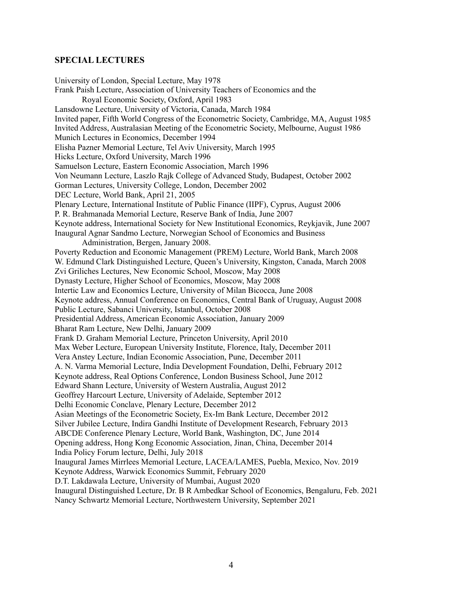#### **SPECIAL LECTURES**

University of London, Special Lecture, May 1978 Frank Paish Lecture, Association of University Teachers of Economics and the Royal Economic Society, Oxford, April 1983 Lansdowne Lecture, University of Victoria, Canada, March 1984 Invited paper, Fifth World Congress of the Econometric Society, Cambridge, MA, August 1985 Invited Address, Australasian Meeting of the Econometric Society, Melbourne, August 1986 Munich Lectures in Economics, December 1994 Elisha Pazner Memorial Lecture, Tel Aviv University, March 1995 Hicks Lecture, Oxford University, March 1996 Samuelson Lecture, Eastern Economic Association, March 1996 Von Neumann Lecture, Laszlo Rajk College of Advanced Study, Budapest, October 2002 Gorman Lectures, University College, London, December 2002 DEC Lecture, World Bank, April 21, 2005 Plenary Lecture, International Institute of Public Finance (IIPF), Cyprus, August 2006 P. R. Brahmanada Memorial Lecture, Reserve Bank of India, June 2007 Keynote address, International Society for New Institutional Economics, Reykjavik, June 2007 Inaugural Agnar Sandmo Lecture, Norwegian School of Economics and Business Administration, Bergen, January 2008. Poverty Reduction and Economic Management (PREM) Lecture, World Bank, March 2008 W. Edmund Clark Distinguished Lecture, Queen's University, Kingston, Canada, March 2008 Zvi Griliches Lectures, New Economic School, Moscow, May 2008 Dynasty Lecture, Higher School of Economics, Moscow, May 2008 Intertic Law and Economics Lecture, University of Milan Bicocca, June 2008 Keynote address, Annual Conference on Economics, Central Bank of Uruguay, August 2008 Public Lecture, Sabanci University, Istanbul, October 2008 Presidential Address, American Economic Association, January 2009 Bharat Ram Lecture, New Delhi, January 2009 Frank D. Graham Memorial Lecture, Princeton University, April 2010 Max Weber Lecture, European University Institute, Florence, Italy, December 2011 Vera Anstey Lecture, Indian Economic Association, Pune, December 2011 A. N. Varma Memorial Lecture, India Development Foundation, Delhi, February 2012 Keynote address, Real Options Conference, London Business School, June 2012 Edward Shann Lecture, University of Western Australia, August 2012 Geoffrey Harcourt Lecture, University of Adelaide, September 2012 Delhi Economic Conclave, Plenary Lecture, December 2012 Asian Meetings of the Econometric Society, Ex-Im Bank Lecture, December 2012 Silver Jubilee Lecture, Indira Gandhi Institute of Development Research, February 2013 ABCDE Conference Plenary Lecture, World Bank, Washington, DC, June 2014 Opening address, Hong Kong Economic Association, Jinan, China, December 2014 India Policy Forum lecture, Delhi, July 2018 Inaugural James Mirrlees Memorial Lecture, LACEA/LAMES, Puebla, Mexico, Nov. 2019 Keynote Address, Warwick Economics Summit, February 2020 D.T. Lakdawala Lecture, University of Mumbai, August 2020 Inaugural Distinguished Lecture, Dr. B R Ambedkar School of Economics, Bengaluru, Feb. 2021 Nancy Schwartz Memorial Lecture, Northwestern University, September 2021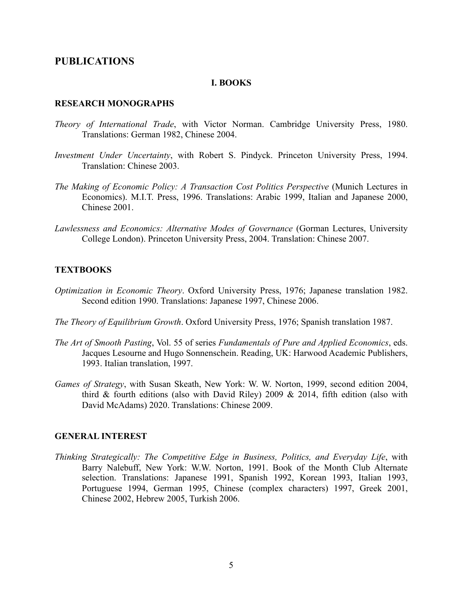# **PUBLICATIONS**

#### **I. BOOKS**

#### **RESEARCH MONOGRAPHS**

- *Theory of International Trade*, with Victor Norman. Cambridge University Press, 1980. Translations: German 1982, Chinese 2004.
- *Investment Under Uncertainty*, with Robert S. Pindyck. Princeton University Press, 1994. Translation: Chinese 2003.
- *The Making of Economic Policy: A Transaction Cost Politics Perspective* (Munich Lectures in Economics). M.I.T. Press, 1996. Translations: Arabic 1999, Italian and Japanese 2000, Chinese 2001.
- *Lawlessness and Economics: Alternative Modes of Governance* (Gorman Lectures, University College London). Princeton University Press, 2004. Translation: Chinese 2007.

# **TEXTBOOKS**

- *Optimization in Economic Theory*. Oxford University Press, 1976; Japanese translation 1982. Second edition 1990. Translations: Japanese 1997, Chinese 2006.
- *The Theory of Equilibrium Growth*. Oxford University Press, 1976; Spanish translation 1987.
- *The Art of Smooth Pasting*, Vol. 55 of series *Fundamentals of Pure and Applied Economics*, eds. Jacques Lesourne and Hugo Sonnenschein. Reading, UK: Harwood Academic Publishers, 1993. Italian translation, 1997.
- *Games of Strategy*, with Susan Skeath, New York: W. W. Norton, 1999, second edition 2004, third & fourth editions (also with David Riley) 2009 & 2014, fifth edition (also with David McAdams) 2020. Translations: Chinese 2009.

#### **GENERAL INTEREST**

*Thinking Strategically: The Competitive Edge in Business, Politics, and Everyday Life*, with Barry Nalebuff, New York: W.W. Norton, 1991. Book of the Month Club Alternate selection. Translations: Japanese 1991, Spanish 1992, Korean 1993, Italian 1993, Portuguese 1994, German 1995, Chinese (complex characters) 1997, Greek 2001, Chinese 2002, Hebrew 2005, Turkish 2006.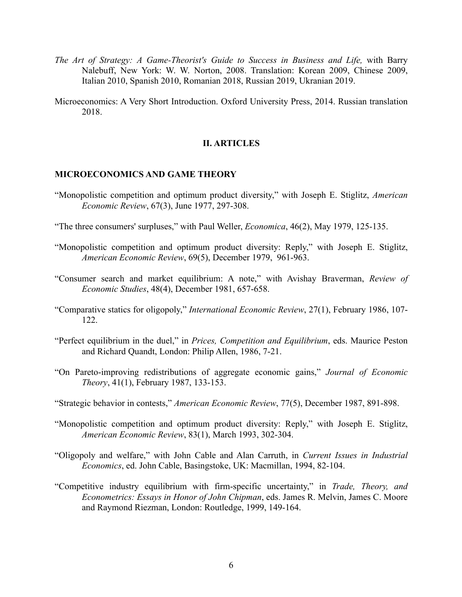- *The Art of Strategy: A Game-Theorist's Guide to Success in Business and Life,* with Barry Nalebuff, New York: W. W. Norton, 2008. Translation: Korean 2009, Chinese 2009, Italian 2010, Spanish 2010, Romanian 2018, Russian 2019, Ukranian 2019.
- Microeconomics: A Very Short Introduction. Oxford University Press, 2014. Russian translation 2018.

#### **II. ARTICLES**

### **MICROECONOMICS AND GAME THEORY**

- "Monopolistic competition and optimum product diversity," with Joseph E. Stiglitz, *American Economic Review*, 67(3), June 1977, 297-308.
- "The three consumers' surpluses," with Paul Weller, *Economica*, 46(2), May 1979, 125-135.
- "Monopolistic competition and optimum product diversity: Reply," with Joseph E. Stiglitz, *American Economic Review*, 69(5), December 1979, 961-963.
- "Consumer search and market equilibrium: A note," with Avishay Braverman, *Review of Economic Studies*, 48(4), December 1981, 657-658.
- "Comparative statics for oligopoly," *International Economic Review*, 27(1), February 1986, 107- 122.
- "Perfect equilibrium in the duel," in *Prices, Competition and Equilibrium*, eds. Maurice Peston and Richard Quandt, London: Philip Allen, 1986, 7-21.
- "On Pareto-improving redistributions of aggregate economic gains," *Journal of Economic Theory*, 41(1), February 1987, 133-153.
- "Strategic behavior in contests," *American Economic Review*, 77(5), December 1987, 891-898.
- "Monopolistic competition and optimum product diversity: Reply," with Joseph E. Stiglitz, *American Economic Review*, 83(1), March 1993, 302-304.
- "Oligopoly and welfare," with John Cable and Alan Carruth, in *Current Issues in Industrial Economics*, ed. John Cable, Basingstoke, UK: Macmillan, 1994, 82-104.
- "Competitive industry equilibrium with firm-specific uncertainty," in *Trade, Theory, and Econometrics: Essays in Honor of John Chipman*, eds. James R. Melvin, James C. Moore and Raymond Riezman, London: Routledge, 1999, 149-164.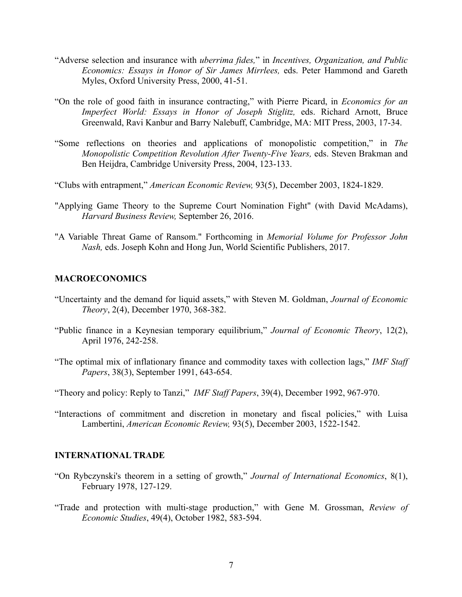- "Adverse selection and insurance with *uberrima fides,*" in *Incentives, Organization, and Public Economics: Essays in Honor of Sir James Mirrlees,* eds. Peter Hammond and Gareth Myles, Oxford University Press, 2000, 41-51.
- "On the role of good faith in insurance contracting," with Pierre Picard, in *Economics for an Imperfect World: Essays in Honor of Joseph Stiglitz,* eds. Richard Arnott, Bruce Greenwald, Ravi Kanbur and Barry Nalebuff, Cambridge, MA: MIT Press, 2003, 17-34.
- "Some reflections on theories and applications of monopolistic competition," in *The Monopolistic Competition Revolution After Twenty-Five Years,* eds. Steven Brakman and Ben Heijdra, Cambridge University Press, 2004, 123-133.
- "Clubs with entrapment," *American Economic Review,* 93(5), December 2003, 1824-1829.
- "Applying Game Theory to the Supreme Court Nomination Fight" (with David McAdams), *Harvard Business Review,* September 26, 2016.
- "A Variable Threat Game of Ransom." Forthcoming in *Memorial Volume for Professor John Nash,* eds. Joseph Kohn and Hong Jun, World Scientific Publishers, 2017.

#### **MACROECONOMICS**

- "Uncertainty and the demand for liquid assets," with Steven M. Goldman, *Journal of Economic Theory*, 2(4), December 1970, 368-382.
- "Public finance in a Keynesian temporary equilibrium," *Journal of Economic Theory*, 12(2), April 1976, 242-258.
- "The optimal mix of inflationary finance and commodity taxes with collection lags," *IMF Staff Papers*, 38(3), September 1991, 643-654.
- "Theory and policy: Reply to Tanzi," *IMF Staff Papers*, 39(4), December 1992, 967-970.
- "Interactions of commitment and discretion in monetary and fiscal policies," with Luisa Lambertini, *American Economic Review,* 93(5), December 2003, 1522-1542.

#### **INTERNATIONAL TRADE**

- "On Rybczynski's theorem in a setting of growth," *Journal of International Economics*, 8(1), February 1978, 127-129.
- "Trade and protection with multi-stage production," with Gene M. Grossman, *Review of Economic Studies*, 49(4), October 1982, 583-594.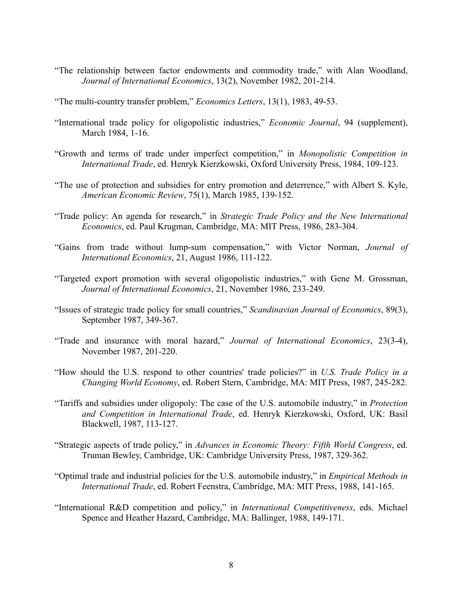- "The relationship between factor endowments and commodity trade," with Alan Woodland, *Journal of International Economics*, 13(2), November 1982, 201-214.
- "The multi-country transfer problem," *Economics Letters*, 13(1), 1983, 49-53.
- "International trade policy for oligopolistic industries," *Economic Journal*, 94 (supplement), March 1984, 1-16.
- "Growth and terms of trade under imperfect competition," in *Monopolistic Competition in International Trade*, ed. Henryk Kierzkowski, Oxford University Press, 1984, 109-123.
- "The use of protection and subsidies for entry promotion and deterrence," with Albert S. Kyle, *American Economic Review*, 75(1), March 1985, 139-152.
- "Trade policy: An agenda for research," in *Strategic Trade Policy and the New International Economics*, ed. Paul Krugman, Cambridge, MA: MIT Press, 1986, 283-304.
- "Gains from trade without lump-sum compensation," with Victor Norman, *Journal of International Economics*, 21, August 1986, 111-122.
- "Targeted export promotion with several oligopolistic industries," with Gene M. Grossman, *Journal of International Economics*, 21, November 1986, 233-249.
- "Issues of strategic trade policy for small countries," *Scandinavian Journal of Economics*, 89(3), September 1987, 349-367.
- "Trade and insurance with moral hazard," *Journal of International Economics*, 23(3-4), November 1987, 201-220.
- "How should the U.S. respond to other countries' trade policies?" in *U.S. Trade Policy in a Changing World Economy*, ed. Robert Stern, Cambridge, MA: MIT Press, 1987, 245-282.
- "Tariffs and subsidies under oligopoly: The case of the U.S. automobile industry," in *Protection and Competition in International Trade*, ed. Henryk Kierzkowski, Oxford, UK: Basil Blackwell, 1987, 113-127.
- "Strategic aspects of trade policy," in *Advances in Economic Theory: Fifth World Congress*, ed. Truman Bewley, Cambridge, UK: Cambridge University Press, 1987, 329-362.
- "Optimal trade and industrial policies for the U.S. automobile industry," in *Empirical Methods in International Trade*, ed. Robert Feenstra, Cambridge, MA: MIT Press, 1988, 141-165.
- "International R&D competition and policy," in *International Competitiveness*, eds. Michael Spence and Heather Hazard, Cambridge, MA: Ballinger, 1988, 149-171.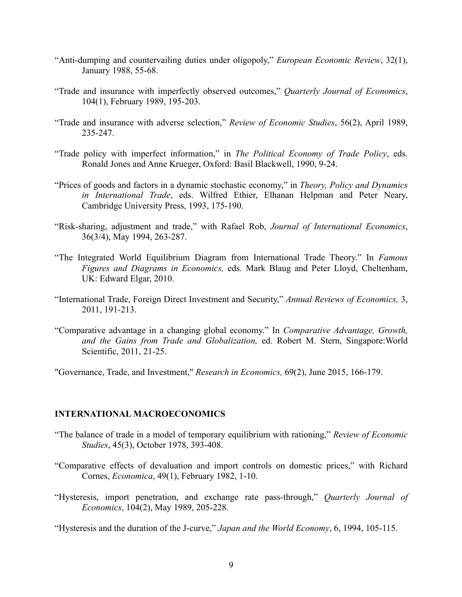- "Anti-dumping and countervailing duties under oligopoly," *European Economic Review*, 32(1), January 1988, 55-68.
- "Trade and insurance with imperfectly observed outcomes," *Quarterly Journal of Economics*, 104(1), February 1989, 195-203.
- "Trade and insurance with adverse selection," *Review of Economic Studies*, 56(2), April 1989, 235-247.
- "Trade policy with imperfect information," in *The Political Economy of Trade Policy*, eds. Ronald Jones and Anne Krueger, Oxford: Basil Blackwell, 1990, 9-24.
- "Prices of goods and factors in a dynamic stochastic economy," in *Theory, Policy and Dynamics in International Trade*, eds. Wilfred Ethier, Elhanan Helpman and Peter Neary, Cambridge University Press, 1993, 175-190.
- "Risk-sharing, adjustment and trade," with Rafael Rob, *Journal of International Economics*, 36(3/4), May 1994, 263-287.
- "The Integrated World Equilibrium Diagram from International Trade Theory." In *Famous Figures and Diagrams in Economics,* eds. Mark Blaug and Peter Lloyd, Cheltenham, UK: Edward Elgar, 2010.
- "International Trade, Foreign Direct Investment and Security," *Annual Reviews of Economics,* 3, 2011, 191-213.
- "Comparative advantage in a changing global economy." In *Comparative Advantage, Growth, and the Gains from Trade and Globalization,* ed. Robert M. Stern, Singapore:World Scientific, 2011, 21-25.

"Governance, Trade, and Investment," *Research in Economics,* 69(2), June 2015, 166-179.

#### **INTERNATIONAL MACROECONOMICS**

- "The balance of trade in a model of temporary equilibrium with rationing," *Review of Economic Studies*, 45(3), October 1978, 393-408.
- "Comparative effects of devaluation and import controls on domestic prices," with Richard Cornes, *Economica*, 49(1), February 1982, 1-10.
- "Hysteresis, import penetration, and exchange rate pass-through," *Quarterly Journal of Economics*, 104(2), May 1989, 205-228.
- "Hysteresis and the duration of the J-curve," *Japan and the World Economy*, 6, 1994, 105-115.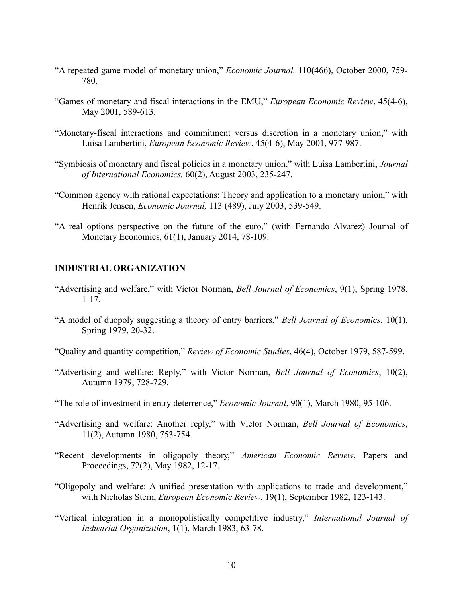- "A repeated game model of monetary union," *Economic Journal,* 110(466), October 2000, 759- 780.
- "Games of monetary and fiscal interactions in the EMU," *European Economic Review*, 45(4-6), May 2001, 589-613.
- "Monetary-fiscal interactions and commitment versus discretion in a monetary union," with Luisa Lambertini, *European Economic Review*, 45(4-6), May 2001, 977-987.
- "Symbiosis of monetary and fiscal policies in a monetary union," with Luisa Lambertini, *Journal of International Economics,* 60(2), August 2003, 235-247.
- "Common agency with rational expectations: Theory and application to a monetary union," with Henrik Jensen, *Economic Journal,* 113 (489), July 2003, 539-549.
- "A real options perspective on the future of the euro," (with Fernando Alvarez) Journal of Monetary Economics, 61(1), January 2014, 78-109.

#### **INDUSTRIAL ORGANIZATION**

- "Advertising and welfare," with Victor Norman, *Bell Journal of Economics*, 9(1), Spring 1978, 1-17.
- "A model of duopoly suggesting a theory of entry barriers," *Bell Journal of Economics*, 10(1), Spring 1979, 20-32.
- "Quality and quantity competition," *Review of Economic Studies*, 46(4), October 1979, 587-599.
- "Advertising and welfare: Reply," with Victor Norman, *Bell Journal of Economics*, 10(2), Autumn 1979, 728-729.
- "The role of investment in entry deterrence," *Economic Journal*, 90(1), March 1980, 95-106.
- "Advertising and welfare: Another reply," with Victor Norman, *Bell Journal of Economics*, 11(2), Autumn 1980, 753-754.
- "Recent developments in oligopoly theory," *American Economic Review*, Papers and Proceedings, 72(2), May 1982, 12-17.
- "Oligopoly and welfare: A unified presentation with applications to trade and development," with Nicholas Stern, *European Economic Review*, 19(1), September 1982, 123-143.
- "Vertical integration in a monopolistically competitive industry," *International Journal of Industrial Organization*, 1(1), March 1983, 63-78.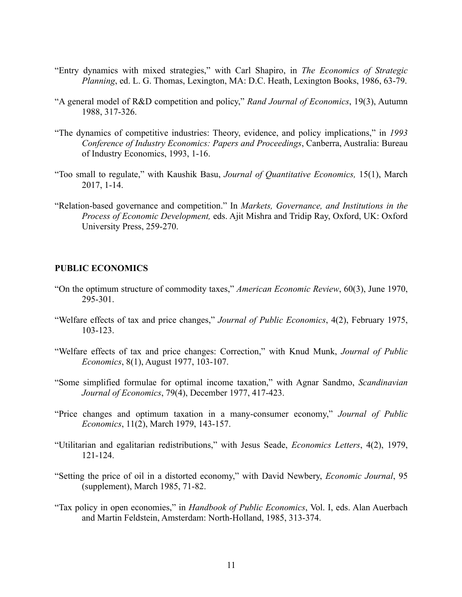- "Entry dynamics with mixed strategies," with Carl Shapiro, in *The Economics of Strategic Planning*, ed. L. G. Thomas, Lexington, MA: D.C. Heath, Lexington Books, 1986, 63-79.
- "A general model of R&D competition and policy," *Rand Journal of Economics*, 19(3), Autumn 1988, 317-326.
- "The dynamics of competitive industries: Theory, evidence, and policy implications," in *1993 Conference of Industry Economics: Papers and Proceedings*, Canberra, Australia: Bureau of Industry Economics, 1993, 1-16.
- "Too small to regulate," with Kaushik Basu, *Journal of Quantitative Economics,* 15(1), March 2017, 1-14.
- "Relation-based governance and competition." In *Markets, Governance, and Institutions in the Process of Economic Development,* eds. Ajit Mishra and Tridip Ray, Oxford, UK: Oxford University Press, 259-270.

#### **PUBLIC ECONOMICS**

- "On the optimum structure of commodity taxes," *American Economic Review*, 60(3), June 1970, 295-301.
- "Welfare effects of tax and price changes," *Journal of Public Economics*, 4(2), February 1975, 103-123.
- "Welfare effects of tax and price changes: Correction," with Knud Munk, *Journal of Public Economics*, 8(1), August 1977, 103-107.
- "Some simplified formulae for optimal income taxation," with Agnar Sandmo, *Scandinavian Journal of Economics*, 79(4), December 1977, 417-423.
- "Price changes and optimum taxation in a many-consumer economy," *Journal of Public Economics*, 11(2), March 1979, 143-157.
- "Utilitarian and egalitarian redistributions," with Jesus Seade, *Economics Letters*, 4(2), 1979, 121-124.
- "Setting the price of oil in a distorted economy," with David Newbery, *Economic Journal*, 95 (supplement), March 1985, 71-82.
- "Tax policy in open economies," in *Handbook of Public Economics*, Vol. I, eds. Alan Auerbach and Martin Feldstein, Amsterdam: North-Holland, 1985, 313-374.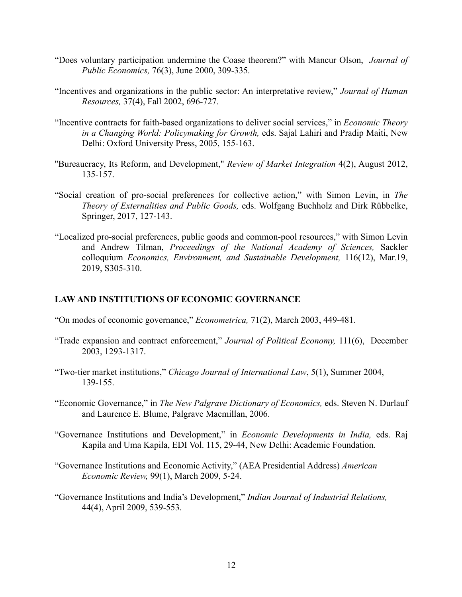- "Does voluntary participation undermine the Coase theorem?" with Mancur Olson, *Journal of Public Economics,* 76(3), June 2000, 309-335.
- "Incentives and organizations in the public sector: An interpretative review," *Journal of Human Resources,* 37(4), Fall 2002, 696-727.
- "Incentive contracts for faith-based organizations to deliver social services," in *Economic Theory in a Changing World: Policymaking for Growth,* eds. Sajal Lahiri and Pradip Maiti, New Delhi: Oxford University Press, 2005, 155-163.
- "Bureaucracy, Its Reform, and Development," *Review of Market Integration* 4(2), August 2012, 135-157.
- "Social creation of pro-social preferences for collective action," with Simon Levin, in *The Theory of Externalities and Public Goods,* eds. Wolfgang Buchholz and Dirk Rübbelke, Springer, 2017, 127-143.
- "Localized pro-social preferences, public goods and common-pool resources," with Simon Levin and Andrew Tilman, *Proceedings of the National Academy of Sciences,* Sackler colloquium *Economics, Environment, and Sustainable Development,* 116(12), Mar.19, 2019, S305-310.

# **LAW AND INSTITUTIONS OF ECONOMIC GOVERNANCE**

- "On modes of economic governance," *Econometrica,* 71(2), March 2003, 449-481.
- "Trade expansion and contract enforcement," *Journal of Political Economy,* 111(6), December 2003, 1293-1317.
- "Two-tier market institutions," *Chicago Journal of International Law*, 5(1), Summer 2004, 139-155.
- "Economic Governance," in *The New Palgrave Dictionary of Economics,* eds. Steven N. Durlauf and Laurence E. Blume, Palgrave Macmillan, 2006.
- "Governance Institutions and Development," in *Economic Developments in India,* eds. Raj Kapila and Uma Kapila, EDI Vol. 115, 29-44, New Delhi: Academic Foundation.
- "Governance Institutions and Economic Activity," (AEA Presidential Address) *American Economic Review,* 99(1), March 2009, 5-24.
- "Governance Institutions and India's Development," *Indian Journal of Industrial Relations,* 44(4), April 2009, 539-553.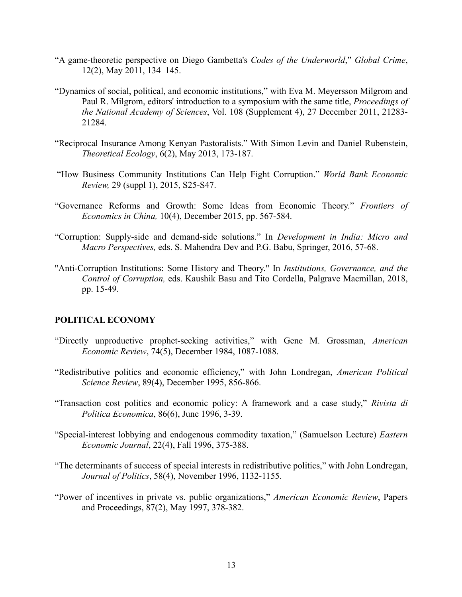- "A game-theoretic perspective on Diego Gambetta's *Codes of the Underworld*," *Global Crime*, 12(2), May 2011, 134–145.
- "Dynamics of social, political, and economic institutions," with Eva M. Meyersson Milgrom and Paul R. Milgrom, editors' introduction to a symposium with the same title, *Proceedings of the National Academy of Sciences*, Vol. 108 (Supplement 4), 27 December 2011, 21283- 21284.
- "Reciprocal Insurance Among Kenyan Pastoralists." With Simon Levin and Daniel Rubenstein, *Theoretical Ecology*, 6(2), May 2013, 173-187.
- "How Business Community Institutions Can Help Fight Corruption." *World Bank Economic Review,* 29 (suppl 1), 2015, S25-S47.
- "Governance Reforms and Growth: Some Ideas from Economic Theory." *Frontiers of Economics in China,* 10(4), December 2015, pp. 567-584.
- "Corruption: Supply-side and demand-side solutions." In *Development in India: Micro and Macro Perspectives,* eds. S. Mahendra Dev and P.G. Babu, Springer, 2016, 57-68.
- "Anti-Corruption Institutions: Some History and Theory." In *Institutions, Governance, and the Control of Corruption,* eds. Kaushik Basu and Tito Cordella, Palgrave Macmillan, 2018, pp. 15-49.

# **POLITICAL ECONOMY**

- "Directly unproductive prophet-seeking activities," with Gene M. Grossman, *American Economic Review*, 74(5), December 1984, 1087-1088.
- "Redistributive politics and economic efficiency," with John Londregan, *American Political Science Review*, 89(4), December 1995, 856-866.
- "Transaction cost politics and economic policy: A framework and a case study," *Rivista di Politica Economica*, 86(6), June 1996, 3-39.
- "Special-interest lobbying and endogenous commodity taxation," (Samuelson Lecture) *Eastern Economic Journal*, 22(4), Fall 1996, 375-388.
- "The determinants of success of special interests in redistributive politics," with John Londregan, *Journal of Politics*, 58(4), November 1996, 1132-1155.
- "Power of incentives in private vs. public organizations," *American Economic Review*, Papers and Proceedings, 87(2), May 1997, 378-382.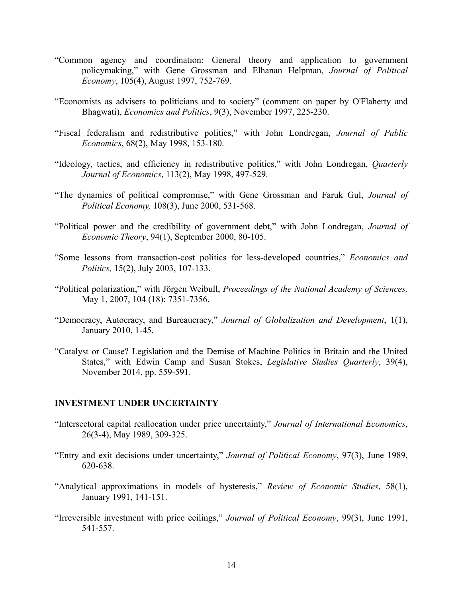- "Common agency and coordination: General theory and application to government policymaking," with Gene Grossman and Elhanan Helpman, *Journal of Political Economy*, 105(4), August 1997, 752-769.
- "Economists as advisers to politicians and to society" (comment on paper by O'Flaherty and Bhagwati), *Economics and Politics*, 9(3), November 1997, 225-230.
- "Fiscal federalism and redistributive politics," with John Londregan, *Journal of Public Economics*, 68(2), May 1998, 153-180.
- "Ideology, tactics, and efficiency in redistributive politics," with John Londregan, *Quarterly Journal of Economics*, 113(2), May 1998, 497-529.
- "The dynamics of political compromise," with Gene Grossman and Faruk Gul, *Journal of Political Economy,* 108(3), June 2000, 531-568.
- "Political power and the credibility of government debt," with John Londregan, *Journal of Economic Theory*, 94(1), September 2000, 80-105.
- "Some lessons from transaction-cost politics for less-developed countries," *Economics and Politics,* 15(2), July 2003, 107-133.
- "Political polarization," with Jörgen Weibull, *Proceedings of the National Academy of Sciences,*  May 1, 2007, 104 (18): 7351-7356.
- "Democracy, Autocracy, and Bureaucracy," *Journal of Globalization and Development*, 1(1), January 2010, 1-45.
- "Catalyst or Cause? Legislation and the Demise of Machine Politics in Britain and the United States," with Edwin Camp and Susan Stokes, *Legislative Studies Quarterly*, 39(4), November 2014, pp. 559-591.

#### **INVESTMENT UNDER UNCERTAINTY**

- "Intersectoral capital reallocation under price uncertainty," *Journal of International Economics*, 26(3-4), May 1989, 309-325.
- "Entry and exit decisions under uncertainty," *Journal of Political Economy*, 97(3), June 1989, 620-638.
- "Analytical approximations in models of hysteresis," *Review of Economic Studies*, 58(1), January 1991, 141-151.
- "Irreversible investment with price ceilings," *Journal of Political Economy*, 99(3), June 1991, 541-557.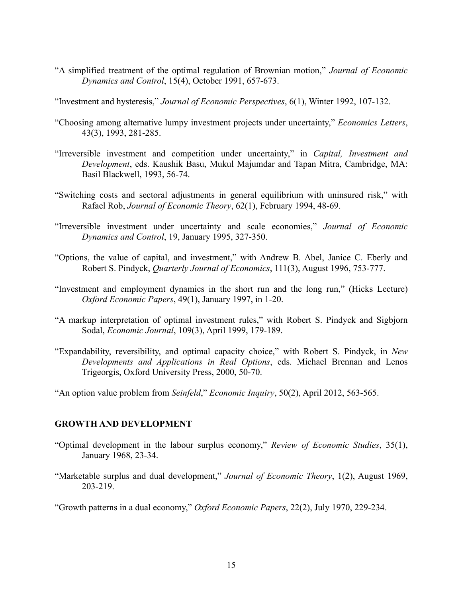"A simplified treatment of the optimal regulation of Brownian motion," *Journal of Economic Dynamics and Control*, 15(4), October 1991, 657-673.

"Investment and hysteresis," *Journal of Economic Perspectives*, 6(1), Winter 1992, 107-132.

- "Choosing among alternative lumpy investment projects under uncertainty," *Economics Letters*, 43(3), 1993, 281-285.
- "Irreversible investment and competition under uncertainty," in *Capital, Investment and Development*, eds. Kaushik Basu, Mukul Majumdar and Tapan Mitra, Cambridge, MA: Basil Blackwell, 1993, 56-74.
- "Switching costs and sectoral adjustments in general equilibrium with uninsured risk," with Rafael Rob, *Journal of Economic Theory*, 62(1), February 1994, 48-69.
- "Irreversible investment under uncertainty and scale economies," *Journal of Economic Dynamics and Control*, 19, January 1995, 327-350.
- "Options, the value of capital, and investment," with Andrew B. Abel, Janice C. Eberly and Robert S. Pindyck, *Quarterly Journal of Economics*, 111(3), August 1996, 753-777.
- "Investment and employment dynamics in the short run and the long run," (Hicks Lecture) *Oxford Economic Papers*, 49(1), January 1997, in 1-20.
- "A markup interpretation of optimal investment rules," with Robert S. Pindyck and Sigbjorn Sodal, *Economic Journal*, 109(3), April 1999, 179-189.
- "Expandability, reversibility, and optimal capacity choice," with Robert S. Pindyck, in *New Developments and Applications in Real Options*, eds. Michael Brennan and Lenos Trigeorgis, Oxford University Press, 2000, 50-70.

"An option value problem from *Seinfeld*," *Economic Inquiry*, 50(2), April 2012, 563-565.

# **GROWTH AND DEVELOPMENT**

- "Optimal development in the labour surplus economy," *Review of Economic Studies*, 35(1), January 1968, 23-34.
- "Marketable surplus and dual development," *Journal of Economic Theory*, 1(2), August 1969, 203-219.

"Growth patterns in a dual economy," *Oxford Economic Papers*, 22(2), July 1970, 229-234.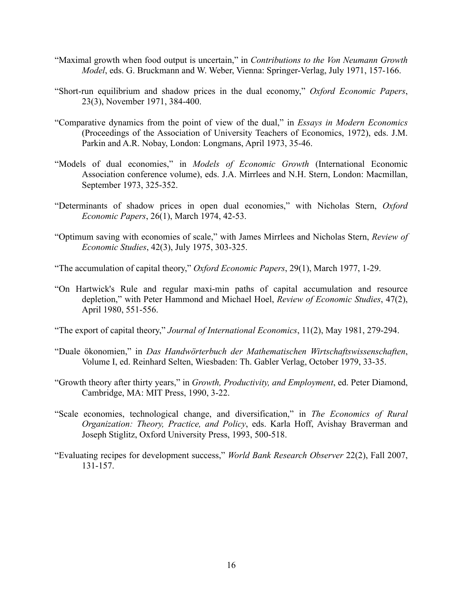- "Maximal growth when food output is uncertain," in *Contributions to the Von Neumann Growth Model*, eds. G. Bruckmann and W. Weber, Vienna: Springer-Verlag, July 1971, 157-166.
- "Short-run equilibrium and shadow prices in the dual economy," *Oxford Economic Papers*, 23(3), November 1971, 384-400.
- "Comparative dynamics from the point of view of the dual," in *Essays in Modern Economics* (Proceedings of the Association of University Teachers of Economics, 1972), eds. J.M. Parkin and A.R. Nobay, London: Longmans, April 1973, 35-46.
- "Models of dual economies," in *Models of Economic Growth* (International Economic Association conference volume), eds. J.A. Mirrlees and N.H. Stern, London: Macmillan, September 1973, 325-352.
- "Determinants of shadow prices in open dual economies," with Nicholas Stern, *Oxford Economic Papers*, 26(1), March 1974, 42-53.
- "Optimum saving with economies of scale," with James Mirrlees and Nicholas Stern, *Review of Economic Studies*, 42(3), July 1975, 303-325.
- "The accumulation of capital theory," *Oxford Economic Papers*, 29(1), March 1977, 1-29.
- "On Hartwick's Rule and regular maxi-min paths of capital accumulation and resource depletion," with Peter Hammond and Michael Hoel, *Review of Economic Studies*, 47(2), April 1980, 551-556.
- "The export of capital theory," *Journal of International Economics*, 11(2), May 1981, 279-294.
- "Duale ökonomien," in *Das Handwörterbuch der Mathematischen Wirtschaftswissenschaften*, Volume I, ed. Reinhard Selten, Wiesbaden: Th. Gabler Verlag, October 1979, 33-35.
- "Growth theory after thirty years," in *Growth, Productivity, and Employment*, ed. Peter Diamond, Cambridge, MA: MIT Press, 1990, 3-22.
- "Scale economies, technological change, and diversification," in *The Economics of Rural Organization: Theory, Practice, and Policy*, eds. Karla Hoff, Avishay Braverman and Joseph Stiglitz, Oxford University Press, 1993, 500-518.
- "Evaluating recipes for development success," *World Bank Research Observer* 22(2), Fall 2007, 131-157.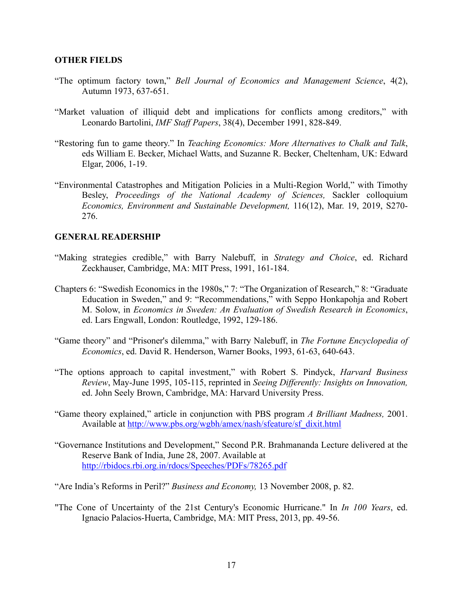#### **OTHER FIELDS**

- "The optimum factory town," *Bell Journal of Economics and Management Science*, 4(2), Autumn 1973, 637-651.
- "Market valuation of illiquid debt and implications for conflicts among creditors," with Leonardo Bartolini, *IMF Staff Papers*, 38(4), December 1991, 828-849.
- "Restoring fun to game theory." In *Teaching Economics: More Alternatives to Chalk and Talk*, eds William E. Becker, Michael Watts, and Suzanne R. Becker, Cheltenham, UK: Edward Elgar, 2006, 1-19.
- "Environmental Catastrophes and Mitigation Policies in a Multi-Region World," with Timothy Besley, *Proceedings of the National Academy of Sciences,* Sackler colloquium *Economics, Environment and Sustainable Development,* 116(12), Mar. 19, 2019, S270- 276.

## **GENERAL READERSHIP**

- "Making strategies credible," with Barry Nalebuff, in *Strategy and Choice*, ed. Richard Zeckhauser, Cambridge, MA: MIT Press, 1991, 161-184.
- Chapters 6: "Swedish Economics in the 1980s," 7: "The Organization of Research," 8: "Graduate Education in Sweden," and 9: "Recommendations," with Seppo Honkapohja and Robert M. Solow, in *Economics in Sweden: An Evaluation of Swedish Research in Economics*, ed. Lars Engwall, London: Routledge, 1992, 129-186.
- "Game theory" and "Prisoner's dilemma," with Barry Nalebuff, in *The Fortune Encyclopedia of Economics*, ed. David R. Henderson, Warner Books, 1993, 61-63, 640-643.
- "The options approach to capital investment," with Robert S. Pindyck, *Harvard Business Review*, May-June 1995, 105-115, reprinted in *Seeing Differently: Insights on Innovation,* ed. John Seely Brown, Cambridge, MA: Harvard University Press.
- "Game theory explained," article in conjunction with PBS program *A Brilliant Madness,* 2001. Available at http://www.pbs.org/wgbh/amex/nash/sfeature/sf\_dixit.html
- "Governance Institutions and Development," Second P.R. Brahmananda Lecture delivered at the Reserve Bank of India, June 28, 2007. Available at http://rbidocs.rbi.org.in/rdocs/Speeches/PDFs/78265.pdf

"Are India's Reforms in Peril?" *Business and Economy,* 13 November 2008, p. 82.

"The Cone of Uncertainty of the 21st Century's Economic Hurricane." In *In 100 Years*, ed. Ignacio Palacios-Huerta, Cambridge, MA: MIT Press, 2013, pp. 49-56.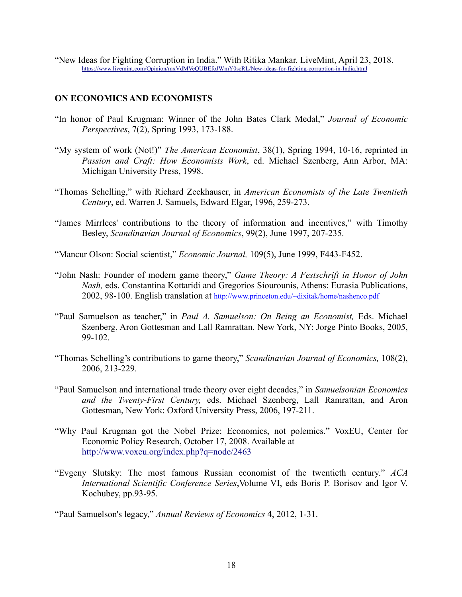"New Ideas for Fighting Corruption in India." With Ritika Mankar. LiveMint, April 23, 2018. https://www.livemint.com/Opinion/mxVdMVeQUBEfoJWmY0scRL/New-ideas-for-fighting-corruption-in-India.html

# **ON ECONOMICS AND ECONOMISTS**

- "In honor of Paul Krugman: Winner of the John Bates Clark Medal," *Journal of Economic Perspectives*, 7(2), Spring 1993, 173-188.
- "My system of work (Not!)" *The American Economist*, 38(1), Spring 1994, 10-16, reprinted in *Passion and Craft: How Economists Work*, ed. Michael Szenberg, Ann Arbor, MA: Michigan University Press, 1998.
- "Thomas Schelling," with Richard Zeckhauser, in *American Economists of the Late Twentieth Century*, ed. Warren J. Samuels, Edward Elgar, 1996, 259-273.
- "James Mirrlees' contributions to the theory of information and incentives," with Timothy Besley, *Scandinavian Journal of Economics*, 99(2), June 1997, 207-235.
- "Mancur Olson: Social scientist," *Economic Journal,* 109(5), June 1999, F443-F452.
- "John Nash: Founder of modern game theory," *Game Theory: A Festschrift in Honor of John Nash,* eds. Constantina Kottaridi and Gregorios Siourounis, Athens: Eurasia Publications, 2002, 98-100. English translation at http://www.princeton.edu/~dixitak/home/nashenco.pdf
- "Paul Samuelson as teacher," in *Paul A. Samuelson: On Being an Economist,* Eds. Michael Szenberg, Aron Gottesman and Lall Ramrattan. New York, NY: Jorge Pinto Books, 2005, 99-102.
- "Thomas Schelling's contributions to game theory," *Scandinavian Journal of Economics,* 108(2), 2006, 213-229.
- "Paul Samuelson and international trade theory over eight decades," in *Samuelsonian Economics and the Twenty-First Century,* eds. Michael Szenberg, Lall Ramrattan, and Aron Gottesman, New York: Oxford University Press, 2006, 197-211.
- "Why Paul Krugman got the Nobel Prize: Economics, not polemics." VoxEU, Center for Economic Policy Research, October 17, 2008. Available at http://www.voxeu.org/index.php?q=node/2463
- "Evgeny Slutsky: The most famous Russian economist of the twentieth century." *ACA International Scientific Conference Series*,Volume VI, eds Boris P. Borisov and Igor V. Kochubey, pp.93-95.

"Paul Samuelson's legacy," *Annual Reviews of Economics* 4, 2012, 1-31.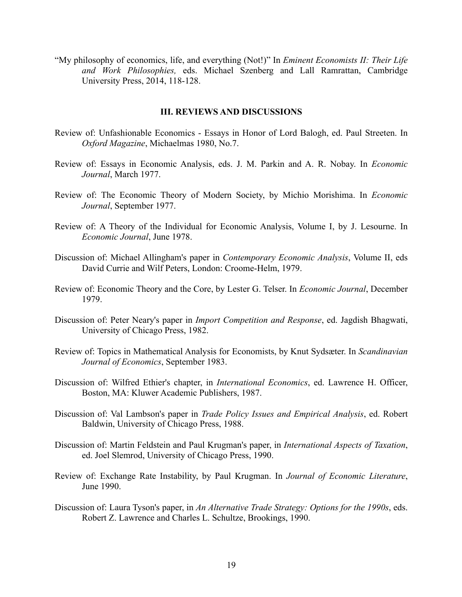"My philosophy of economics, life, and everything (Not!)" In *Eminent Economists II: Their Life and Work Philosophies,* eds. Michael Szenberg and Lall Ramrattan, Cambridge University Press, 2014, 118-128.

#### **III. REVIEWS AND DISCUSSIONS**

- Review of: Unfashionable Economics Essays in Honor of Lord Balogh, ed. Paul Streeten. In *Oxford Magazine*, Michaelmas 1980, No.7.
- Review of: Essays in Economic Analysis, eds. J. M. Parkin and A. R. Nobay. In *Economic Journal*, March 1977.
- Review of: The Economic Theory of Modern Society, by Michio Morishima. In *Economic Journal*, September 1977.
- Review of: A Theory of the Individual for Economic Analysis, Volume I, by J. Lesourne. In *Economic Journal*, June 1978.
- Discussion of: Michael Allingham's paper in *Contemporary Economic Analysis*, Volume II, eds David Currie and Wilf Peters, London: Croome-Helm, 1979.
- Review of: Economic Theory and the Core, by Lester G. Telser. In *Economic Journal*, December 1979.
- Discussion of: Peter Neary's paper in *Import Competition and Response*, ed. Jagdish Bhagwati, University of Chicago Press, 1982.
- Review of: Topics in Mathematical Analysis for Economists, by Knut Sydsæter. In *Scandinavian Journal of Economics*, September 1983.
- Discussion of: Wilfred Ethier's chapter, in *International Economics*, ed. Lawrence H. Officer, Boston, MA: Kluwer Academic Publishers, 1987.
- Discussion of: Val Lambson's paper in *Trade Policy Issues and Empirical Analysis*, ed. Robert Baldwin, University of Chicago Press, 1988.
- Discussion of: Martin Feldstein and Paul Krugman's paper, in *International Aspects of Taxation*, ed. Joel Slemrod, University of Chicago Press, 1990.
- Review of: Exchange Rate Instability, by Paul Krugman. In *Journal of Economic Literature*, June 1990.
- Discussion of: Laura Tyson's paper, in *An Alternative Trade Strategy: Options for the 1990s*, eds. Robert Z. Lawrence and Charles L. Schultze, Brookings, 1990.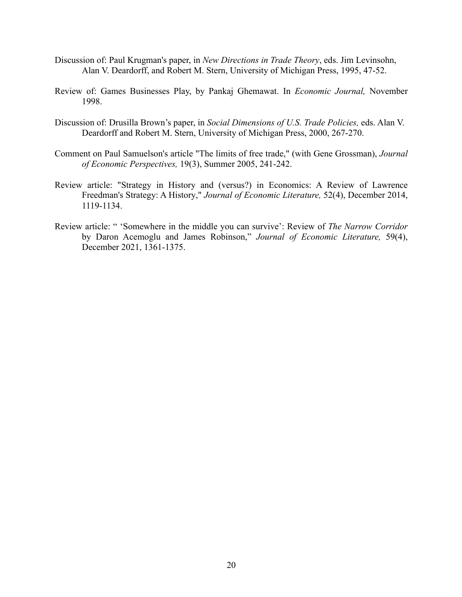- Discussion of: Paul Krugman's paper, in *New Directions in Trade Theory*, eds. Jim Levinsohn, Alan V. Deardorff, and Robert M. Stern, University of Michigan Press, 1995, 47-52.
- Review of: Games Businesses Play, by Pankaj Ghemawat. In *Economic Journal,* November 1998.
- Discussion of: Drusilla Brown's paper, in *Social Dimensions of U.S. Trade Policies,* eds. Alan V. Deardorff and Robert M. Stern, University of Michigan Press, 2000, 267-270.
- Comment on Paul Samuelson's article "The limits of free trade," (with Gene Grossman), *Journal of Economic Perspectives,* 19(3), Summer 2005, 241-242.
- Review article: "Strategy in History and (versus?) in Economics: A Review of Lawrence Freedman's Strategy: A History," *Journal of Economic Literature,* 52(4), December 2014, 1119-1134.
- Review article: " 'Somewhere in the middle you can survive': Review of *The Narrow Corridor* by Daron Acemoglu and James Robinson," *Journal of Economic Literature,* 59(4), December 2021, 1361-1375.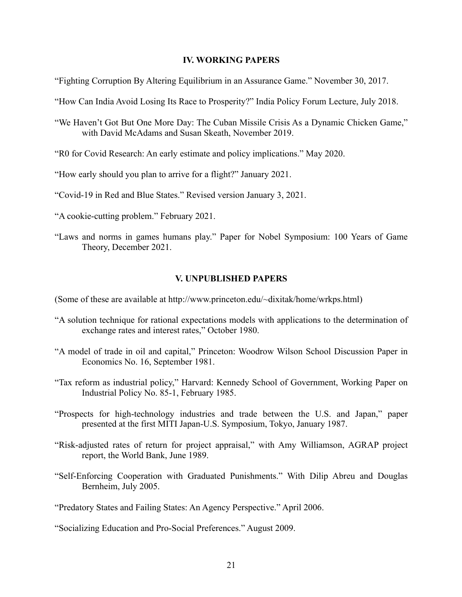#### **IV. WORKING PAPERS**

"Fighting Corruption By Altering Equilibrium in an Assurance Game." November 30, 2017.

- "How Can India Avoid Losing Its Race to Prosperity?" India Policy Forum Lecture, July 2018.
- "We Haven't Got But One More Day: The Cuban Missile Crisis As a Dynamic Chicken Game," with David McAdams and Susan Skeath, November 2019.
- "R0 for Covid Research: An early estimate and policy implications." May 2020.
- "How early should you plan to arrive for a flight?" January 2021.
- "Covid-19 in Red and Blue States." Revised version January 3, 2021.
- "A cookie-cutting problem." February 2021.
- "Laws and norms in games humans play." Paper for Nobel Symposium: 100 Years of Game Theory, December 2021.

#### **V. UNPUBLISHED PAPERS**

(Some of these are available at http://www.princeton.edu/~dixitak/home/wrkps.html)

- "A solution technique for rational expectations models with applications to the determination of exchange rates and interest rates," October 1980.
- "A model of trade in oil and capital," Princeton: Woodrow Wilson School Discussion Paper in Economics No. 16, September 1981.
- "Tax reform as industrial policy," Harvard: Kennedy School of Government, Working Paper on Industrial Policy No. 85-1, February 1985.
- "Prospects for high-technology industries and trade between the U.S. and Japan," paper presented at the first MITI Japan-U.S. Symposium, Tokyo, January 1987.
- "Risk-adjusted rates of return for project appraisal," with Amy Williamson, AGRAP project report, the World Bank, June 1989.
- "Self-Enforcing Cooperation with Graduated Punishments." With Dilip Abreu and Douglas Bernheim, July 2005.

"Predatory States and Failing States: An Agency Perspective." April 2006.

"Socializing Education and Pro-Social Preferences." August 2009.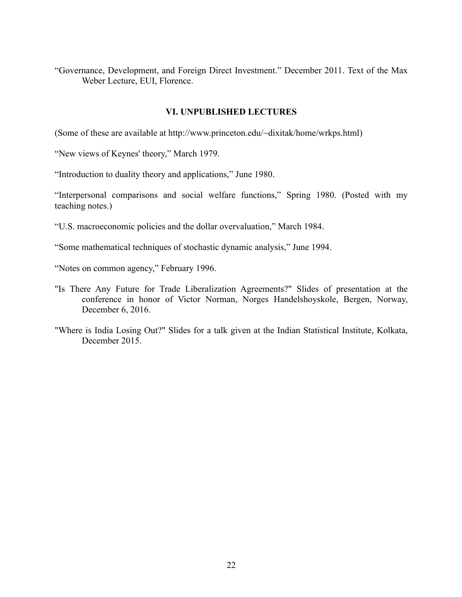"Governance, Development, and Foreign Direct Investment." December 2011. Text of the Max Weber Lecture, EUI, Florence.

# **VI. UNPUBLISHED LECTURES**

(Some of these are available at http://www.princeton.edu/~dixitak/home/wrkps.html)

"New views of Keynes' theory," March 1979.

"Introduction to duality theory and applications," June 1980.

"Interpersonal comparisons and social welfare functions," Spring 1980. (Posted with my teaching notes.)

"U.S. macroeconomic policies and the dollar overvaluation," March 1984.

"Some mathematical techniques of stochastic dynamic analysis," June 1994.

"Notes on common agency," February 1996.

- "Is There Any Future for Trade Liberalization Agreements?" Slides of presentation at the conference in honor of Victor Norman, Norges Handelshoyskole, Bergen, Norway, December 6, 2016.
- "Where is India Losing Out?" Slides for a talk given at the Indian Statistical Institute, Kolkata, December 2015.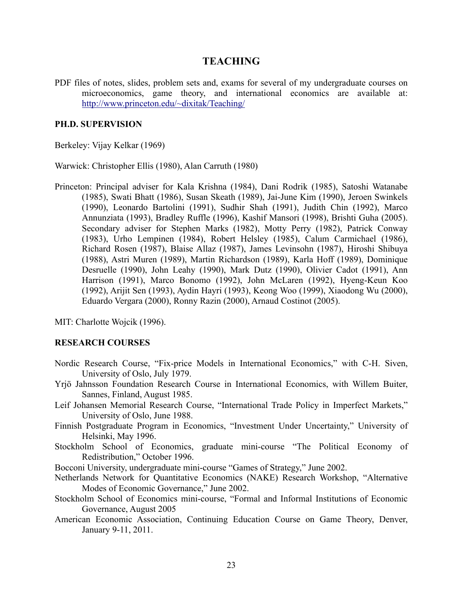# **TEACHING**

PDF files of notes, slides, problem sets and, exams for several of my undergraduate courses on microeconomics, game theory, and international economics are available at: http://www.princeton.edu/~dixitak/Teaching/

## **PH.D. SUPERVISION**

Berkeley: Vijay Kelkar (1969)

Warwick: Christopher Ellis (1980), Alan Carruth (1980)

Princeton: Principal adviser for Kala Krishna (1984), Dani Rodrik (1985), Satoshi Watanabe (1985), Swati Bhatt (1986), Susan Skeath (1989), Jai-June Kim (1990), Jeroen Swinkels (1990), Leonardo Bartolini (1991), Sudhir Shah (1991), Judith Chin (1992), Marco Annunziata (1993), Bradley Ruffle (1996), Kashif Mansori (1998), Brishti Guha (2005). Secondary adviser for Stephen Marks (1982), Motty Perry (1982), Patrick Conway (1983), Urho Lempinen (1984), Robert Helsley (1985), Calum Carmichael (1986), Richard Rosen (1987), Blaise Allaz (1987), James Levinsohn (1987), Hiroshi Shibuya (1988), Astri Muren (1989), Martin Richardson (1989), Karla Hoff (1989), Dominique Desruelle (1990), John Leahy (1990), Mark Dutz (1990), Olivier Cadot (1991), Ann Harrison (1991), Marco Bonomo (1992), John McLaren (1992), Hyeng-Keun Koo (1992), Arijit Sen (1993), Aydin Hayri (1993), Keong Woo (1999), Xiaodong Wu (2000), Eduardo Vergara (2000), Ronny Razin (2000), Arnaud Costinot (2005).

MIT: Charlotte Wojcik (1996).

# **RESEARCH COURSES**

- Nordic Research Course, "Fix-price Models in International Economics," with C-H. Siven, University of Oslo, July 1979.
- Yrjö Jahnsson Foundation Research Course in International Economics, with Willem Buiter, Sannes, Finland, August 1985.
- Leif Johansen Memorial Research Course, "International Trade Policy in Imperfect Markets," University of Oslo, June 1988.
- Finnish Postgraduate Program in Economics, "Investment Under Uncertainty," University of Helsinki, May 1996.
- Stockholm School of Economics, graduate mini-course "The Political Economy of Redistribution," October 1996.
- Bocconi University, undergraduate mini-course "Games of Strategy," June 2002.
- Netherlands Network for Quantitative Economics (NAKE) Research Workshop, "Alternative Modes of Economic Governance," June 2002.
- Stockholm School of Economics mini-course, "Formal and Informal Institutions of Economic Governance, August 2005
- American Economic Association, Continuing Education Course on Game Theory, Denver, January 9-11, 2011.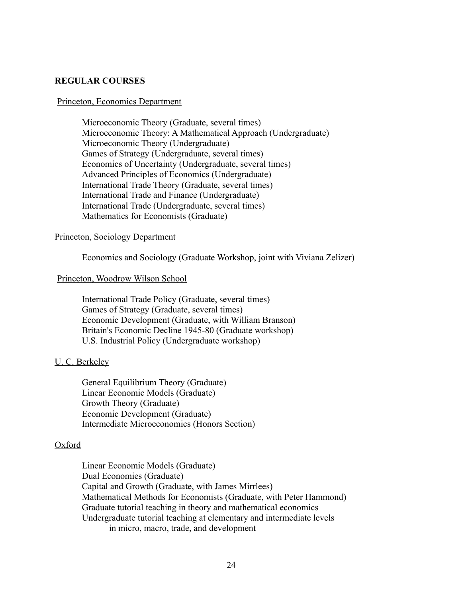### **REGULAR COURSES**

#### Princeton, Economics Department

Microeconomic Theory (Graduate, several times) Microeconomic Theory: A Mathematical Approach (Undergraduate) Microeconomic Theory (Undergraduate) Games of Strategy (Undergraduate, several times) Economics of Uncertainty (Undergraduate, several times) Advanced Principles of Economics (Undergraduate) International Trade Theory (Graduate, several times) International Trade and Finance (Undergraduate) International Trade (Undergraduate, several times) Mathematics for Economists (Graduate)

#### Princeton, Sociology Department

Economics and Sociology (Graduate Workshop, joint with Viviana Zelizer)

#### Princeton, Woodrow Wilson School

International Trade Policy (Graduate, several times) Games of Strategy (Graduate, several times) Economic Development (Graduate, with William Branson) Britain's Economic Decline 1945-80 (Graduate workshop) U.S. Industrial Policy (Undergraduate workshop)

#### U. C. Berkeley

General Equilibrium Theory (Graduate) Linear Economic Models (Graduate) Growth Theory (Graduate) Economic Development (Graduate) Intermediate Microeconomics (Honors Section)

#### Oxford

Linear Economic Models (Graduate) Dual Economies (Graduate) Capital and Growth (Graduate, with James Mirrlees) Mathematical Methods for Economists (Graduate, with Peter Hammond) Graduate tutorial teaching in theory and mathematical economics Undergraduate tutorial teaching at elementary and intermediate levels in micro, macro, trade, and development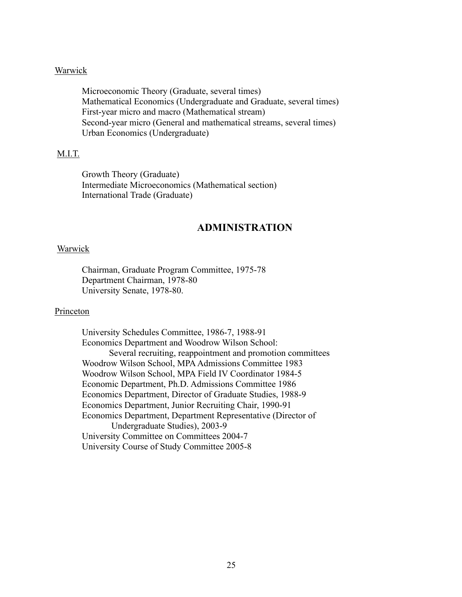### **Warwick**

Microeconomic Theory (Graduate, several times) Mathematical Economics (Undergraduate and Graduate, several times) First-year micro and macro (Mathematical stream) Second-year micro (General and mathematical streams, several times) Urban Economics (Undergraduate)

### M.I.T.

Growth Theory (Graduate) Intermediate Microeconomics (Mathematical section) International Trade (Graduate)

# **ADMINISTRATION**

#### Warwick

Chairman, Graduate Program Committee, 1975-78 Department Chairman, 1978-80 University Senate, 1978-80.

#### Princeton

University Schedules Committee, 1986-7, 1988-91 Economics Department and Woodrow Wilson School: Several recruiting, reappointment and promotion committees Woodrow Wilson School, MPA Admissions Committee 1983 Woodrow Wilson School, MPA Field IV Coordinator 1984-5 Economic Department, Ph.D. Admissions Committee 1986 Economics Department, Director of Graduate Studies, 1988-9 Economics Department, Junior Recruiting Chair, 1990-91 Economics Department, Department Representative (Director of Undergraduate Studies), 2003-9 University Committee on Committees 2004-7 University Course of Study Committee 2005-8